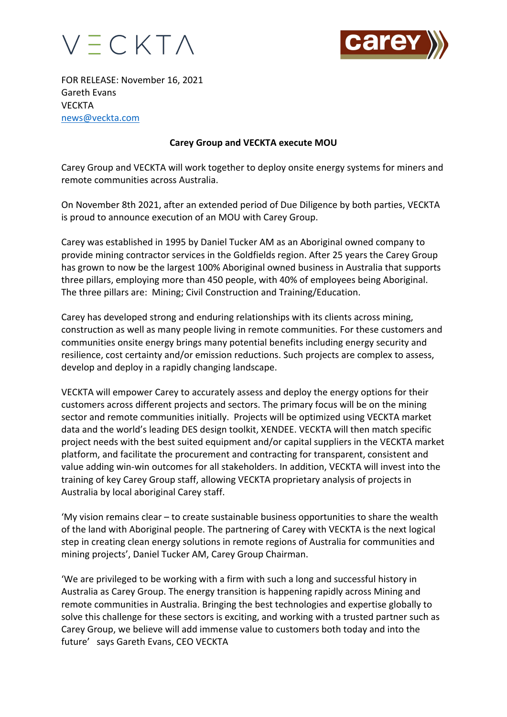



FOR RELEASE: November 16, 2021 Gareth Evans **VECKTA** news@veckta.com

## **Carey Group and VECKTA execute MOU**

Carey Group and VECKTA will work together to deploy onsite energy systems for miners and remote communities across Australia.

On November 8th 2021, after an extended period of Due Diligence by both parties, VECKTA is proud to announce execution of an MOU with Carey Group.

Carey was established in 1995 by Daniel Tucker AM as an Aboriginal owned company to provide mining contractor services in the Goldfields region. After 25 years the Carey Group has grown to now be the largest 100% Aboriginal owned business in Australia that supports three pillars, employing more than 450 people, with 40% of employees being Aboriginal. The three pillars are: Mining; Civil Construction and Training/Education.

Carey has developed strong and enduring relationships with its clients across mining, construction as well as many people living in remote communities. For these customers and communities onsite energy brings many potential benefits including energy security and resilience, cost certainty and/or emission reductions. Such projects are complex to assess, develop and deploy in a rapidly changing landscape.

VECKTA will empower Carey to accurately assess and deploy the energy options for their customers across different projects and sectors. The primary focus will be on the mining sector and remote communities initially. Projects will be optimized using VECKTA market data and the world's leading DES design toolkit, XENDEE. VECKTA will then match specific project needs with the best suited equipment and/or capital suppliers in the VECKTA market platform, and facilitate the procurement and contracting for transparent, consistent and value adding win-win outcomes for all stakeholders. In addition, VECKTA will invest into the training of key Carey Group staff, allowing VECKTA proprietary analysis of projects in Australia by local aboriginal Carey staff.

'My vision remains clear – to create sustainable business opportunities to share the wealth of the land with Aboriginal people. The partnering of Carey with VECKTA is the next logical step in creating clean energy solutions in remote regions of Australia for communities and mining projects', Daniel Tucker AM, Carey Group Chairman.

'We are privileged to be working with a firm with such a long and successful history in Australia as Carey Group. The energy transition is happening rapidly across Mining and remote communities in Australia. Bringing the best technologies and expertise globally to solve this challenge for these sectors is exciting, and working with a trusted partner such as Carey Group, we believe will add immense value to customers both today and into the future' says Gareth Evans, CEO VECKTA